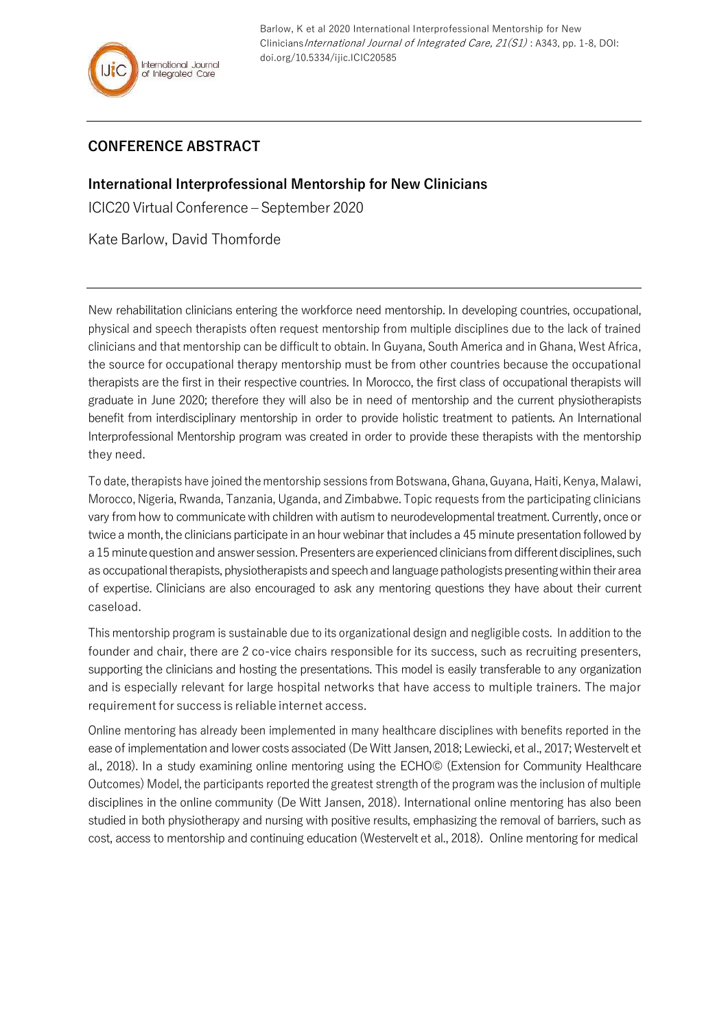

Barlow, K et al 2020 International Interprofessional Mentorship for New Clinicians International Journal of Integrated Care, 21(S1): A343, pp. 1-8, DOI: doi.org/10.5334/ijic.ICIC20585

## **CONFERENCE ABSTRACT**

**International Interprofessional Mentorship for New Clinicians**

ICIC20 VirtualConference – September 2020

Kate Barlow, David Thomforde

New rehabilitation clinicians entering the workforce need mentorship. In developing countries, occupational, physical and speech therapists often request mentorship from multiple disciplines due to the lack of trained clinicians and that mentorship can be difficult to obtain. In Guyana, South America and in Ghana, West Africa, the source for occupational therapy mentorship must be from other countries because the occupational therapists are the first in their respective countries. In Morocco, the first class of occupational therapists will graduate in June 2020; therefore they will also be in need of mentorship and the current physiotherapists benefit from interdisciplinary mentorship in order to provide holistic treatment to patients. An International Interprofessional Mentorship program was created in order to provide these therapists with the mentorship they need.

To date, therapists have joined the mentorship sessions from Botswana, Ghana, Guyana, Haiti, Kenya, Malawi, Morocco, Nigeria, Rwanda, Tanzania, Uganda, and Zimbabwe. Topic requests from the participating clinicians vary from how to communicate with children with autism to neurodevelopmental treatment. Currently, once or twice a month, the clinicians participate in an hour webinar that includes a 45 minute presentation followed by a 15 minute question and answer session. Presenters are experienced clinicians from different disciplines, such as occupational therapists, physiotherapists and speech and language pathologists presenting within their area of expertise. Clinicians are also encouraged to ask any mentoring questions they have about their current caseload.

This mentorship program is sustainable due to its organizational design and negligible costs. In addition to the founder and chair, there are 2 co-vice chairs responsible for its success, such as recruiting presenters, supporting the clinicians and hosting the presentations. This model is easily transferable to any organization and is especially relevant for large hospital networks that have access to multiple trainers. The major requirementfor success is reliable internet access.

Online mentoring has already been implemented in many healthcare disciplines with benefits reported in the ease of implementation and lower costs associated (De Witt Jansen, 2018; Lewiecki, et al., 2017; Westervelt et al., 2018). In a study examining online mentoring using the ECHO© (Extension for Community Healthcare Outcomes) Model, the participants reported the greatest strength of the program was the inclusion of multiple disciplines in the online community (De Witt Jansen, 2018). International online mentoring has also been studied in both physiotherapy and nursing with positive results, emphasizing the removal of barriers, such as cost, access to mentorship and continuing education (Westervelt et al., 2018). Online mentoring for medical